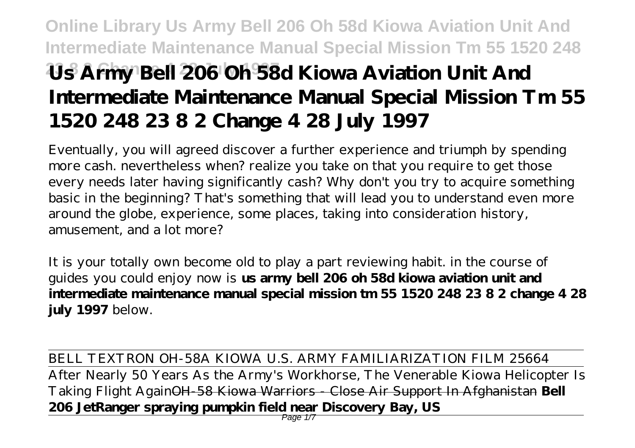# **Online Library Us Army Bell 206 Oh 58d Kiowa Aviation Unit And Intermediate Maintenance Manual Special Mission Tm 55 1520 248 23 8 2 Change 4 28 July 1997 Us Army Bell 206 Oh 58d Kiowa Aviation Unit And Intermediate Maintenance Manual Special Mission Tm 55 1520 248 23 8 2 Change 4 28 July 1997**

Eventually, you will agreed discover a further experience and triumph by spending more cash. nevertheless when? realize you take on that you require to get those every needs later having significantly cash? Why don't you try to acquire something basic in the beginning? That's something that will lead you to understand even more around the globe, experience, some places, taking into consideration history, amusement, and a lot more?

It is your totally own become old to play a part reviewing habit. in the course of guides you could enjoy now is **us army bell 206 oh 58d kiowa aviation unit and intermediate maintenance manual special mission tm 55 1520 248 23 8 2 change 4 28 july 1997** below.

BELL TEXTRON OH-58A KIOWA U.S. ARMY FAMILIARIZATION FILM 25664 After Nearly 50 Years As the Army's Workhorse, The Venerable Kiowa Helicopter Is Taking Flight AgainOH-58 Kiowa Warriors - Close Air Support In Afghanistan **Bell 206 JetRanger spraying pumpkin field near Discovery Bay, US**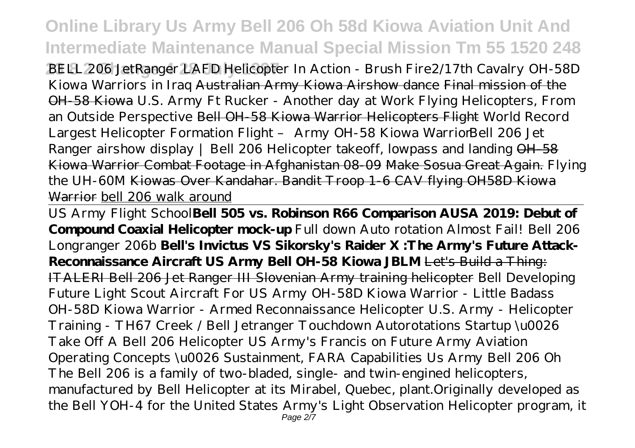**Online Library Us Army Bell 206 Oh 58d Kiowa Aviation Unit And Intermediate Maintenance Manual Special Mission Tm 55 1520 248**

**23 8 2 Change 4 28 July 1997** BELL 206 JetRanger LAFD Helicopter In Action - Brush Fire*2/17th Cavalry OH-58D Kiowa Warriors in Iraq* Australian Army Kiowa Airshow dance Final mission of the OH-58 Kiowa *U.S. Army Ft Rucker - Another day at Work Flying Helicopters, From an Outside Perspective* Bell OH-58 Kiowa Warrior Helicopters Flight World Record Largest Helicopter Formation Flight - Army OH-58 Kiowa Warrior *Bell 206 Jet Ranger airshow display | Bell 206 Helicopter takeoff, lowpass and landing* OH-58 Kiowa Warrior Combat Footage in Afghanistan 08-09 Make Sosua Great Again. *Flying the UH-60M* Kiowas Over Kandahar. Bandit Troop 1-6 CAV flying OH58D Kiowa Warrior bell 206 walk around

US Army Flight School**Bell 505 vs. Robinson R66 Comparison AUSA 2019: Debut of Compound Coaxial Helicopter mock-up** Full down Auto rotation Almost Fail! Bell 206 Longranger 206b **Bell's Invictus VS Sikorsky's Raider X :The Army's Future Attack-Reconnaissance Aircraft US Army Bell OH-58 Kiowa JBLM** Let's Build a Thing: ITALERI Bell 206 Jet Ranger III Slovenian Army training helicopter Bell Developing Future Light Scout Aircraft For US Army *OH-58D Kiowa Warrior - Little Badass OH-58D Kiowa Warrior - Armed Reconnaissance Helicopter* U.S. Army - Helicopter Training - TH67 Creek / Bell Jetranger Touchdown Autorotations Startup \u0026 Take Off A Bell 206 Helicopter US Army's Francis on Future Army Aviation Operating Concepts \u0026 Sustainment, FARA Capabilities Us Army Bell 206 Oh The Bell 206 is a family of two-bladed, single- and twin-engined helicopters, manufactured by Bell Helicopter at its Mirabel, Quebec, plant.Originally developed as the Bell YOH-4 for the United States Army's Light Observation Helicopter program, it Page 2/7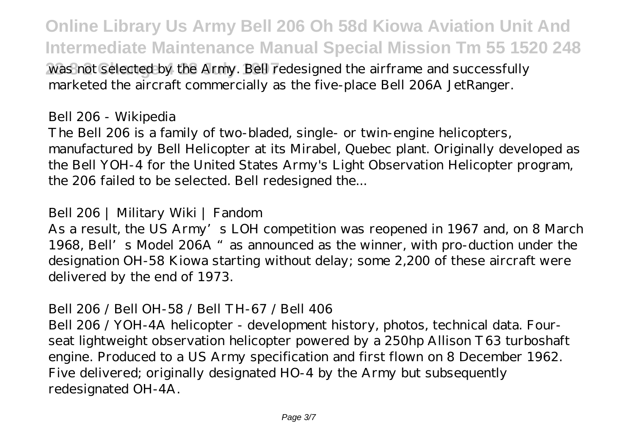**Online Library Us Army Bell 206 Oh 58d Kiowa Aviation Unit And Intermediate Maintenance Manual Special Mission Tm 55 1520 248**

was not selected by the Army. Bell redesigned the airframe and successfully marketed the aircraft commercially as the five-place Bell 206A JetRanger.

Bell 206 - Wikipedia

The Bell 206 is a family of two-bladed, single- or twin-engine helicopters, manufactured by Bell Helicopter at its Mirabel, Quebec plant. Originally developed as the Bell YOH-4 for the United States Army's Light Observation Helicopter program, the 206 failed to be selected. Bell redesigned the...

## Bell 206 | Military Wiki | Fandom

As a result, the US Army's LOH competition was reopened in 1967 and, on 8 March 1968, Bell's Model 206A "as announced as the winner, with pro-duction under the designation OH-58 Kiowa starting without delay; some 2,200 of these aircraft were delivered by the end of 1973.

## Bell 206 / Bell OH-58 / Bell TH-67 / Bell 406

Bell 206 / YOH-4A helicopter - development history, photos, technical data. Fourseat lightweight observation helicopter powered by a 250hp Allison T63 turboshaft engine. Produced to a US Army specification and first flown on 8 December 1962. Five delivered; originally designated HO-4 by the Army but subsequently redesignated OH-4A.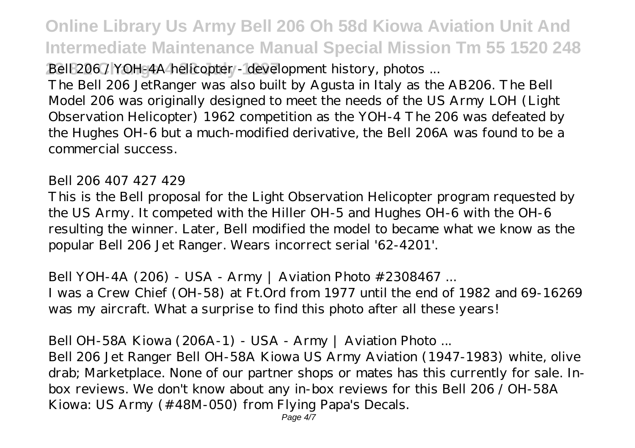**Online Library Us Army Bell 206 Oh 58d Kiowa Aviation Unit And Intermediate Maintenance Manual Special Mission Tm 55 1520 248**

Bell 206 / YOH-4A helicopter - development history, photos ...

The Bell 206 JetRanger was also built by Agusta in Italy as the AB206. The Bell Model 206 was originally designed to meet the needs of the US Army LOH (Light Observation Helicopter) 1962 competition as the YOH-4 The 206 was defeated by the Hughes OH-6 but a much-modified derivative, the Bell 206A was found to be a commercial success.

#### Bell 206 407 427 429

This is the Bell proposal for the Light Observation Helicopter program requested by the US Army. It competed with the Hiller OH-5 and Hughes OH-6 with the OH-6 resulting the winner. Later, Bell modified the model to became what we know as the popular Bell 206 Jet Ranger. Wears incorrect serial '62-4201'.

Bell YOH-4A (206) - USA - Army | Aviation Photo #2308467 ... I was a Crew Chief (OH-58) at Ft.Ord from 1977 until the end of 1982 and 69-16269 was my aircraft. What a surprise to find this photo after all these years!

Bell OH-58A Kiowa (206A-1) - USA - Army | Aviation Photo ...

Bell 206 Jet Ranger Bell OH-58A Kiowa US Army Aviation (1947-1983) white, olive drab; Marketplace. None of our partner shops or mates has this currently for sale. Inbox reviews. We don't know about any in-box reviews for this Bell 206 / OH-58A Kiowa: US Army (#48M-050) from Flying Papa's Decals.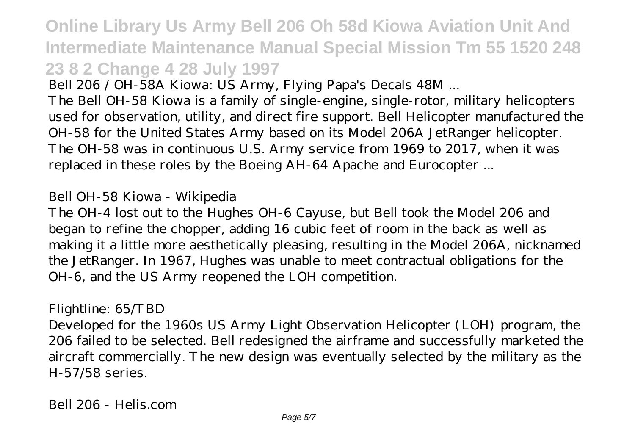**Online Library Us Army Bell 206 Oh 58d Kiowa Aviation Unit And Intermediate Maintenance Manual Special Mission Tm 55 1520 248 23 8 2 Change 4 28 July 1997**

Bell 206 / OH-58A Kiowa: US Army, Flying Papa's Decals 48M ...

The Bell OH-58 Kiowa is a family of single-engine, single-rotor, military helicopters used for observation, utility, and direct fire support. Bell Helicopter manufactured the OH-58 for the United States Army based on its Model 206A JetRanger helicopter. The OH-58 was in continuous U.S. Army service from 1969 to 2017, when it was replaced in these roles by the Boeing AH-64 Apache and Eurocopter ...

### Bell OH-58 Kiowa - Wikipedia

The OH-4 lost out to the Hughes OH-6 Cayuse, but Bell took the Model 206 and began to refine the chopper, adding 16 cubic feet of room in the back as well as making it a little more aesthetically pleasing, resulting in the Model 206A, nicknamed the JetRanger. In 1967, Hughes was unable to meet contractual obligations for the OH-6, and the US Army reopened the LOH competition.

#### Flightline: 65/TBD

Developed for the 1960s US Army Light Observation Helicopter (LOH) program, the 206 failed to be selected. Bell redesigned the airframe and successfully marketed the aircraft commercially. The new design was eventually selected by the military as the H-57/58 series.

Bell 206 - Helis.com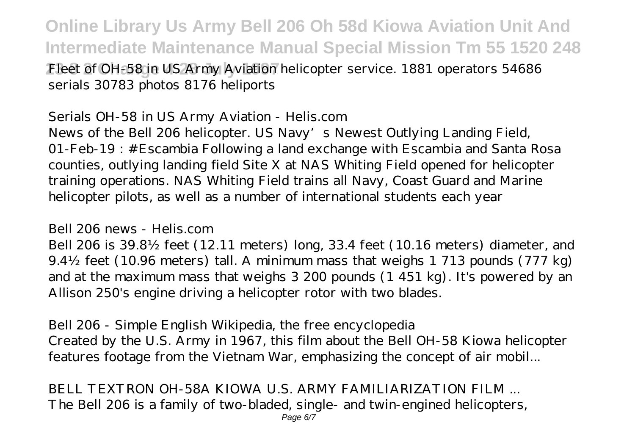**Online Library Us Army Bell 206 Oh 58d Kiowa Aviation Unit And Intermediate Maintenance Manual Special Mission Tm 55 1520 248 23 8 2 Change 4 28 July 1997** Fleet of OH-58 in US Army Aviation helicopter service. 1881 operators 54686 serials 30783 photos 8176 heliports

Serials OH-58 in US Army Aviation - Helis.com News of the Bell 206 helicopter. US Navy's Newest Outlying Landing Field, 01-Feb-19 : #Escambia Following a land exchange with Escambia and Santa Rosa counties, outlying landing field Site X at NAS Whiting Field opened for helicopter training operations. NAS Whiting Field trains all Navy, Coast Guard and Marine helicopter pilots, as well as a number of international students each year

#### Bell 206 news - Helis.com

Bell 206 is 39.8½ feet (12.11 meters) long, 33.4 feet (10.16 meters) diameter, and 9.4½ feet (10.96 meters) tall. A minimum mass that weighs 1 713 pounds (777 kg) and at the maximum mass that weighs 3 200 pounds (1 451 kg). It's powered by an Allison 250's engine driving a helicopter rotor with two blades.

Bell 206 - Simple English Wikipedia, the free encyclopedia Created by the U.S. Army in 1967, this film about the Bell OH-58 Kiowa helicopter features footage from the Vietnam War, emphasizing the concept of air mobil...

BELL TEXTRON OH-58A KIOWA U.S. ARMY FAMILIARIZATION FILM ... The Bell 206 is a family of two-bladed, single- and twin-engined helicopters, Page 6/7